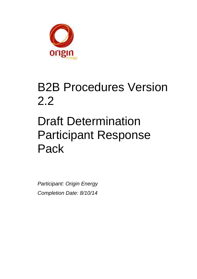

## B2B Procedures Version 2.2

# Draft Determination Participant Response Pack

*Participant: Origin Energy Completion Date: 8/10/14*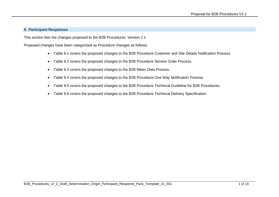#### **9. Participant Responses**

This section lists the changes proposed to the B2B Procedures: Version 2.1

Proposed changes have been categorised as Procedure changes as follows;

- Table 9.1 covers the proposed changes to the B2B Procedure Customer and Site Details Notification Process.
- Table 9.2 covers the proposed changes to the B2B Procedure Service Order Process.
- Table 9.3 covers the proposed changes to the B2B Meter Data Process.
- Table 9.4 covers the proposed changes to the B2B Procedure One Way Notification Process.
- Table 9.5 covers the proposed changes to the B2B Procedure Technical Guideline for B2B Procedures.
- Table 9.6 covers the proposed changes to the B2B Procedure Technical Delivery Specification.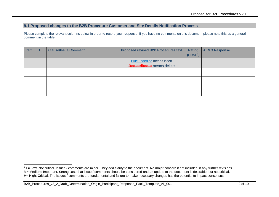### **9.1 Proposed changes to the B2B Procedure Customer and Site Details Notification Process**

Please complete the relevant columns below in order to record your response. If you have no comments on this document please note this as a general comment in the table.

| <b>Item</b> | $\blacksquare$ | <b>Clause/Issue/Comment</b> | <b>Proposed revised B2B Procedures text</b> | Rating<br>$(H/M/L^1)$ | <b>AEMO Response</b> |
|-------------|----------------|-----------------------------|---------------------------------------------|-----------------------|----------------------|
|             |                |                             | Blue underline means insert                 |                       |                      |
|             |                |                             | <b>Red strikeout</b> means delete           |                       |                      |
|             |                |                             |                                             |                       |                      |
|             |                |                             |                                             |                       |                      |
|             |                |                             |                                             |                       |                      |
|             |                |                             |                                             |                       |                      |
|             |                |                             |                                             |                       |                      |

 $1$  L= Low: Not critical. Issues / comments are minor. They add clarity to the document. No major concern if not included in any further revisions M= Medium: Important. Strong case that issue / comments should be considered and an update to the document is desirable, but not critical. H= High: Critical. The issues / comments are fundamental and failure to make necessary changes has the potential to impact consensus.

B2B\_Procedures\_v2\_2\_Draft\_Determination\_Origin\_Participant\_Response\_Pack\_Template\_v1\_001 2 of 10 2 of 10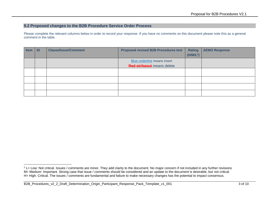### **9.2 Proposed changes to the B2B Procedure Service Order Process**

Please complete the relevant columns below in order to record your response. If you have no comments on this document please note this as a general comment in the table.

| <b>Item</b> | ID | <b>Clause/Issue/Comment</b> | <b>Proposed revised B2B Procedures text</b>                      | Rating<br>(H/M/L <sup>2</sup> ) | <b>AEMO Response</b> |
|-------------|----|-----------------------------|------------------------------------------------------------------|---------------------------------|----------------------|
|             |    |                             | Blue underline means insert<br><b>Red strikeout</b> means delete |                                 |                      |
|             |    |                             |                                                                  |                                 |                      |
|             |    |                             |                                                                  |                                 |                      |
|             |    |                             |                                                                  |                                 |                      |
|             |    |                             |                                                                  |                                 |                      |

<sup>-</sup><sup>2</sup> L= Low: Not critical. Issues / comments are minor. They add clarity to the document. No major concern if not included in any further revisions M= Medium: Important. Strong case that issue / comments should be considered and an update to the document is desirable, but not critical. H= High: Critical. The issues / comments are fundamental and failure to make necessary changes has the potential to impact consensus.

B2B\_Procedures\_v2\_2\_Draft\_Determination\_Origin\_Participant\_Response\_Pack\_Template\_v1\_001 3 01 3 of 10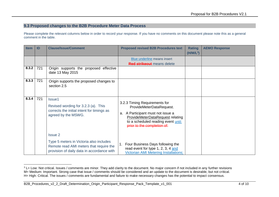### **9.3 Proposed changes to the B2B Procedure Meter Data Process**

Please complete the relevant columns below in order to record your response. If you have no comments on this document please note this as a general comment in the table.

| <b>Item</b> | ID  | <b>Clause/Issue/Comment</b>                                                                                                                        | <b>Proposed revised B2B Procedures text</b>                                                                                                                                                                        | <b>Rating</b><br>$(H/M/L^3)$ | <b>AEMO Response</b> |
|-------------|-----|----------------------------------------------------------------------------------------------------------------------------------------------------|--------------------------------------------------------------------------------------------------------------------------------------------------------------------------------------------------------------------|------------------------------|----------------------|
|             |     |                                                                                                                                                    | Blue underline means insert<br><b>Red strikeout</b> means delete                                                                                                                                                   |                              |                      |
| 8.3.2       | 721 | Origin supports the proposed effective<br>date 13 May 2015                                                                                         |                                                                                                                                                                                                                    |                              |                      |
| 8.3.3       | 721 | Origin supports the proposed changes to<br>section 2.5                                                                                             |                                                                                                                                                                                                                    |                              |                      |
| 8.3.4       | 721 | Issue1<br>Revised wording for 3.2.3 (a). This<br>corrects the initial intent for timings as<br>agreed by the MSWG.                                 | 3.2.3 Timing Requirements for<br>ProvideMeterDataRequest.<br>A Participant must not issue a<br>a.<br><b>ProvideMeterDataRequest relating</b><br>to a scheduled reading event until:<br>prior to the completion of: |                              |                      |
|             |     | <b>Issue 2</b><br>Type 5 meters in Victoria also includes<br>Remote read AMI meters that require the<br>provision of daily data in accordance with | Four Business Days following the<br>read event for type 1, 2, 3, 4 and<br><b>Victorian AMI Metering Installations;</b>                                                                                             |                              |                      |

<sup>&</sup>lt;sup>3</sup> L= Low: Not critical. Issues / comments are minor. They add clarity to the document. No major concern if not included in any further revisions M= Medium: Important. Strong case that issue / comments should be considered and an update to the document is desirable, but not critical. H= High: Critical. The issues / comments are fundamental and failure to make necessary changes has the potential to impact consensus.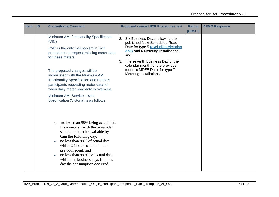| <b>Item</b> | ID | <b>Clause/Issue/Comment</b>                                                                                                                                                                                                                                                                                                                                                                                                                 | <b>Proposed revised B2B Procedures text</b>                                                                                                                                                                                                                                                             | <b>Rating</b><br>$(H/M/L^3)$ | <b>AEMO Response</b> |
|-------------|----|---------------------------------------------------------------------------------------------------------------------------------------------------------------------------------------------------------------------------------------------------------------------------------------------------------------------------------------------------------------------------------------------------------------------------------------------|---------------------------------------------------------------------------------------------------------------------------------------------------------------------------------------------------------------------------------------------------------------------------------------------------------|------------------------------|----------------------|
|             |    | Minimum AMI functionality Specification<br>(VIC)<br>PMD is the only mechanism in B2B<br>procedures to request missing meter data<br>for these meters.<br>The proposed changes will be<br>inconsistent with the Minimum AMI<br>functionality Specification and restricts<br>participants requesting meter data for<br>when daily meter read data is over-due.<br><b>Minimum AMI Service Levels</b><br>Specification (Victoria) is as follows | 2. Six Business Days following the<br>published Next Scheduled Read<br>Date for type 5 (excluding Victorian<br><b>AMI)</b> and 6 Metering Installations;<br>and<br>The seventh Business Day of the<br>3.<br>calendar month for the previous<br>month's MDFF Data, for type 7<br>Metering Installations. |                              |                      |
|             |    | no less than 95% being actual data<br>$\bullet$<br>from meters, (with the remainder<br>substituted), to be available by<br>6am the following day;<br>no less than 99% of actual data<br>within 24 hours of the time in<br>previous point; and<br>no less than 99.9% of actual data<br>within ten business days from the<br>day the consumption occurred                                                                                     |                                                                                                                                                                                                                                                                                                         |                              |                      |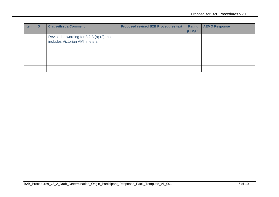| <b>Item</b> | <b>ID</b> | <b>Clause/Issue/Comment</b>                                                | <b>Proposed revised B2B Procedures text</b> | <b>Rating</b><br>$(H/M/L^3)$ | <b>AEMO Response</b> |
|-------------|-----------|----------------------------------------------------------------------------|---------------------------------------------|------------------------------|----------------------|
|             |           | Revise the wording for 3.2.3 (a) (2) that<br>includes Victorian AMI meters |                                             |                              |                      |
|             |           |                                                                            |                                             |                              |                      |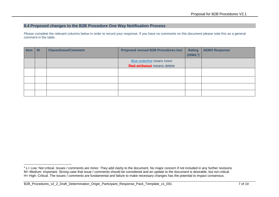### **9.4 Proposed changes to the B2B Procedure One Way Notification Process**

Please complete the relevant columns below in order to record your response. If you have no comments on this document please note this as a general comment in the table.

| <b>Item</b> | ID | <b>Clause/Issue/Comment</b> | <b>Proposed revised B2B Procedures text</b> | <b>Rating</b>         | <b>AEMO Response</b> |
|-------------|----|-----------------------------|---------------------------------------------|-----------------------|----------------------|
|             |    |                             |                                             | (H/M/L <sup>4</sup> ) |                      |
|             |    |                             | Blue underline means insert                 |                       |                      |
|             |    |                             | <b>Red strikeout</b> means delete           |                       |                      |
|             |    |                             |                                             |                       |                      |
|             |    |                             |                                             |                       |                      |
|             |    |                             |                                             |                       |                      |
|             |    |                             |                                             |                       |                      |
|             |    |                             |                                             |                       |                      |

<sup>&</sup>lt;sup>4</sup> L= Low: Not critical. Issues / comments are minor. They add clarity to the document. No major concern if not included in any further revisions M= Medium: Important. Strong case that issue / comments should be considered and an update to the document is desirable, but not critical. H= High: Critical. The issues / comments are fundamental and failure to make necessary changes has the potential to impact consensus.

B2B\_Procedures\_v2\_2\_Draft\_Determination\_Origin\_Participant\_Response\_Pack\_Template\_v1\_001 7 of 10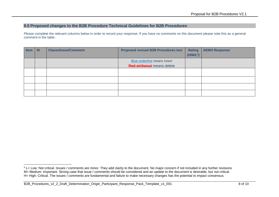#### **9.5 Proposed changes to the B2B Procedure Technical Guidelines for B2B Procedures**

Please complete the relevant columns below in order to record your response. If you have no comments on this document please note this as a general comment in the table.

| <b>Item</b> | ID | <b>Clause/Issue/Comment</b> | <b>Proposed revised B2B Procedures text</b> | <b>Rating</b>         | <b>AEMO Response</b> |
|-------------|----|-----------------------------|---------------------------------------------|-----------------------|----------------------|
|             |    |                             |                                             | (H/M/L <sup>5</sup> ) |                      |
|             |    |                             | Blue underline means insert                 |                       |                      |
|             |    |                             | <b>Red strikeout</b> means delete           |                       |                      |
|             |    |                             |                                             |                       |                      |
|             |    |                             |                                             |                       |                      |
|             |    |                             |                                             |                       |                      |
|             |    |                             |                                             |                       |                      |
|             |    |                             |                                             |                       |                      |

<sup>-</sup> $5$  L= Low: Not critical. Issues / comments are minor. They add clarity to the document. No major concern if not included in any further revisions M= Medium: Important. Strong case that issue / comments should be considered and an update to the document is desirable, but not critical. H= High: Critical. The issues / comments are fundamental and failure to make necessary changes has the potential to impact consensus.

B2B\_Procedures\_v2\_2\_Draft\_Determination\_Origin\_Participant\_Response\_Pack\_Template\_v1\_001 8 of 10